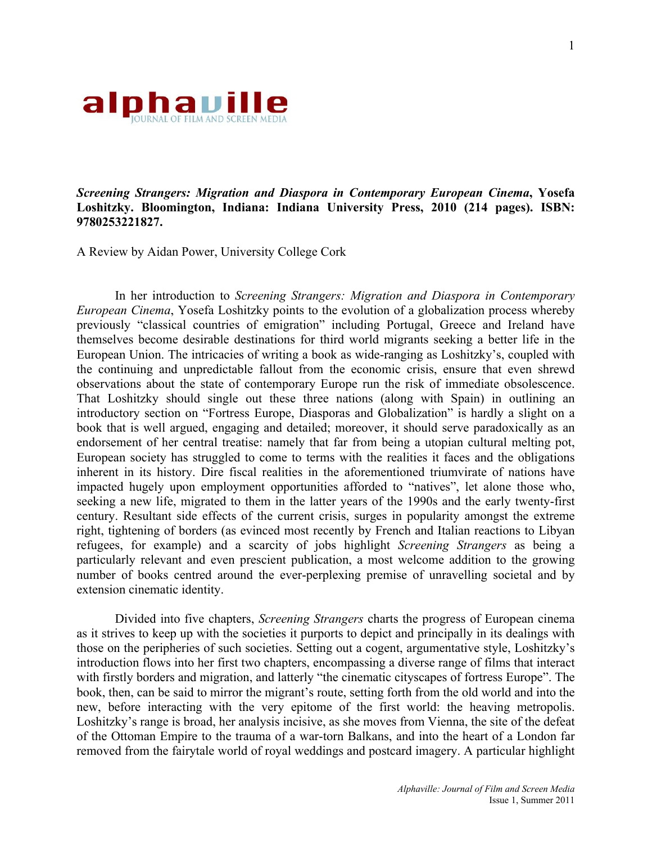

*Screening Strangers: Migration and Diaspora in Contemporary European Cinema***, Yosefa Loshitzky. Bloomington, Indiana: Indiana University Press, 2010 (214 pages). ISBN: 9780253221827.**

A Review by Aidan Power, University College Cork

In her introduction to *Screening Strangers: Migration and Diaspora in Contemporary European Cinema*, Yosefa Loshitzky points to the evolution of a globalization process whereby previously "classical countries of emigration" including Portugal, Greece and Ireland have themselves become desirable destinations for third world migrants seeking a better life in the European Union. The intricacies of writing a book as wide-ranging as Loshitzky's, coupled with the continuing and unpredictable fallout from the economic crisis, ensure that even shrewd observations about the state of contemporary Europe run the risk of immediate obsolescence. That Loshitzky should single out these three nations (along with Spain) in outlining an introductory section on "Fortress Europe, Diasporas and Globalization" is hardly a slight on a book that is well argued, engaging and detailed; moreover, it should serve paradoxically as an endorsement of her central treatise: namely that far from being a utopian cultural melting pot, European society has struggled to come to terms with the realities it faces and the obligations inherent in its history. Dire fiscal realities in the aforementioned triumvirate of nations have impacted hugely upon employment opportunities afforded to "natives", let alone those who, seeking a new life, migrated to them in the latter years of the 1990s and the early twenty-first century. Resultant side effects of the current crisis, surges in popularity amongst the extreme right, tightening of borders (as evinced most recently by French and Italian reactions to Libyan refugees, for example) and a scarcity of jobs highlight *Screening Strangers* as being a particularly relevant and even prescient publication, a most welcome addition to the growing number of books centred around the ever-perplexing premise of unravelling societal and by extension cinematic identity.

Divided into five chapters, *Screening Strangers* charts the progress of European cinema as it strives to keep up with the societies it purports to depict and principally in its dealings with those on the peripheries of such societies. Setting out a cogent, argumentative style, Loshitzky's introduction flows into her first two chapters, encompassing a diverse range of films that interact with firstly borders and migration, and latterly "the cinematic cityscapes of fortress Europe". The book, then, can be said to mirror the migrant's route, setting forth from the old world and into the new, before interacting with the very epitome of the first world: the heaving metropolis. Loshitzky's range is broad, her analysis incisive, as she moves from Vienna, the site of the defeat of the Ottoman Empire to the trauma of a war-torn Balkans, and into the heart of a London far removed from the fairytale world of royal weddings and postcard imagery. A particular highlight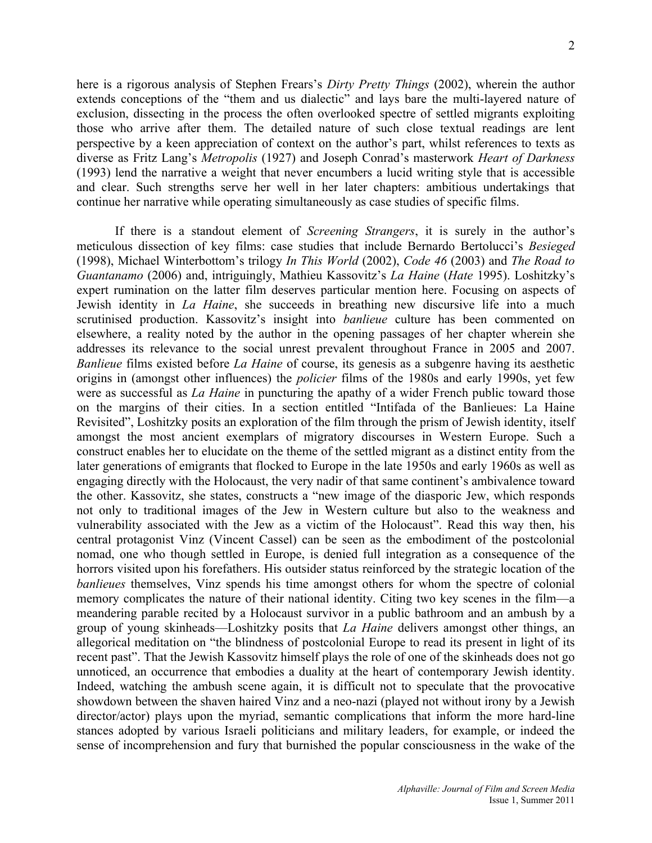here is a rigorous analysis of Stephen Frears's *Dirty Pretty Things* (2002), wherein the author extends conceptions of the "them and us dialectic" and lays bare the multi-layered nature of exclusion, dissecting in the process the often overlooked spectre of settled migrants exploiting those who arrive after them. The detailed nature of such close textual readings are lent perspective by a keen appreciation of context on the author's part, whilst references to texts as diverse as Fritz Lang's *Metropolis* (1927) and Joseph Conrad's masterwork *Heart of Darkness* (1993) lend the narrative a weight that never encumbers a lucid writing style that is accessible and clear. Such strengths serve her well in her later chapters: ambitious undertakings that continue her narrative while operating simultaneously as case studies of specific films.

If there is a standout element of *Screening Strangers*, it is surely in the author's meticulous dissection of key films: case studies that include Bernardo Bertolucci's *Besieged* (1998), Michael Winterbottom's trilogy *In This World* (2002), *Code 46* (2003) and *The Road to Guantanamo* (2006) and, intriguingly, Mathieu Kassovitz's *La Haine* (*Hate* 1995). Loshitzky's expert rumination on the latter film deserves particular mention here. Focusing on aspects of Jewish identity in *La Haine*, she succeeds in breathing new discursive life into a much scrutinised production. Kassovitz's insight into *banlieue* culture has been commented on elsewhere, a reality noted by the author in the opening passages of her chapter wherein she addresses its relevance to the social unrest prevalent throughout France in 2005 and 2007. *Banlieue* films existed before *La Haine* of course, its genesis as a subgenre having its aesthetic origins in (amongst other influences) the *policier* films of the 1980s and early 1990s, yet few were as successful as *La Haine* in puncturing the apathy of a wider French public toward those on the margins of their cities. In a section entitled "Intifada of the Banlieues: La Haine Revisited", Loshitzky posits an exploration of the film through the prism of Jewish identity, itself amongst the most ancient exemplars of migratory discourses in Western Europe. Such a construct enables her to elucidate on the theme of the settled migrant as a distinct entity from the later generations of emigrants that flocked to Europe in the late 1950s and early 1960s as well as engaging directly with the Holocaust, the very nadir of that same continent's ambivalence toward the other. Kassovitz, she states, constructs a "new image of the diasporic Jew, which responds not only to traditional images of the Jew in Western culture but also to the weakness and vulnerability associated with the Jew as a victim of the Holocaust". Read this way then, his central protagonist Vinz (Vincent Cassel) can be seen as the embodiment of the postcolonial nomad, one who though settled in Europe, is denied full integration as a consequence of the horrors visited upon his forefathers. His outsider status reinforced by the strategic location of the *banlieues* themselves, Vinz spends his time amongst others for whom the spectre of colonial memory complicates the nature of their national identity. Citing two key scenes in the film—a meandering parable recited by a Holocaust survivor in a public bathroom and an ambush by a group of young skinheads—Loshitzky posits that *La Haine* delivers amongst other things, an allegorical meditation on "the blindness of postcolonial Europe to read its present in light of its recent past". That the Jewish Kassovitz himself plays the role of one of the skinheads does not go unnoticed, an occurrence that embodies a duality at the heart of contemporary Jewish identity. Indeed, watching the ambush scene again, it is difficult not to speculate that the provocative showdown between the shaven haired Vinz and a neo-nazi (played not without irony by a Jewish director/actor) plays upon the myriad, semantic complications that inform the more hard-line stances adopted by various Israeli politicians and military leaders, for example, or indeed the sense of incomprehension and fury that burnished the popular consciousness in the wake of the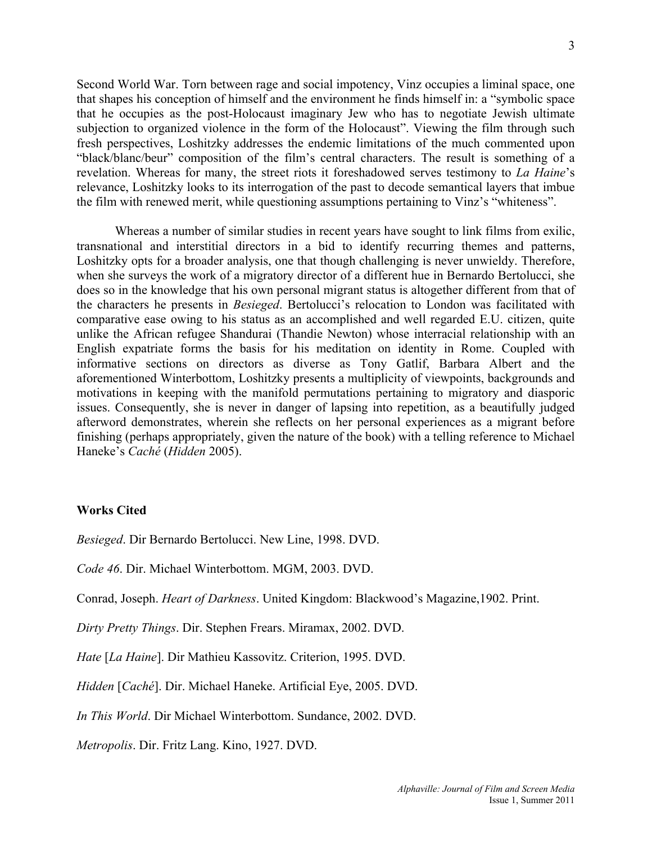Second World War. Torn between rage and social impotency, Vinz occupies a liminal space, one that shapes his conception of himself and the environment he finds himself in: a "symbolic space that he occupies as the post-Holocaust imaginary Jew who has to negotiate Jewish ultimate subjection to organized violence in the form of the Holocaust". Viewing the film through such fresh perspectives, Loshitzky addresses the endemic limitations of the much commented upon "black/blanc/beur" composition of the film's central characters. The result is something of a revelation. Whereas for many, the street riots it foreshadowed serves testimony to *La Haine*'s relevance, Loshitzky looks to its interrogation of the past to decode semantical layers that imbue the film with renewed merit, while questioning assumptions pertaining to Vinz's "whiteness".

Whereas a number of similar studies in recent years have sought to link films from exilic, transnational and interstitial directors in a bid to identify recurring themes and patterns, Loshitzky opts for a broader analysis, one that though challenging is never unwieldy. Therefore, when she surveys the work of a migratory director of a different hue in Bernardo Bertolucci, she does so in the knowledge that his own personal migrant status is altogether different from that of the characters he presents in *Besieged*. Bertolucci's relocation to London was facilitated with comparative ease owing to his status as an accomplished and well regarded E.U. citizen, quite unlike the African refugee Shandurai (Thandie Newton) whose interracial relationship with an English expatriate forms the basis for his meditation on identity in Rome. Coupled with informative sections on directors as diverse as Tony Gatlif, Barbara Albert and the aforementioned Winterbottom, Loshitzky presents a multiplicity of viewpoints, backgrounds and motivations in keeping with the manifold permutations pertaining to migratory and diasporic issues. Consequently, she is never in danger of lapsing into repetition, as a beautifully judged afterword demonstrates, wherein she reflects on her personal experiences as a migrant before finishing (perhaps appropriately, given the nature of the book) with a telling reference to Michael Haneke's *Caché* (*Hidden* 2005).

## **Works Cited**

*Besieged*. Dir Bernardo Bertolucci. New Line, 1998. DVD.

*Code 46*. Dir. Michael Winterbottom. MGM, 2003. DVD.

Conrad, Joseph. *Heart of Darkness*. United Kingdom: Blackwood's Magazine,1902. Print.

*Dirty Pretty Things*. Dir. Stephen Frears. Miramax, 2002. DVD.

*Hate* [*La Haine*]. Dir Mathieu Kassovitz. Criterion, 1995. DVD.

*Hidden* [*Caché*]. Dir. Michael Haneke. Artificial Eye, 2005. DVD.

*In This World*. Dir Michael Winterbottom. Sundance, 2002. DVD.

*Metropolis*. Dir. Fritz Lang. Kino, 1927. DVD.